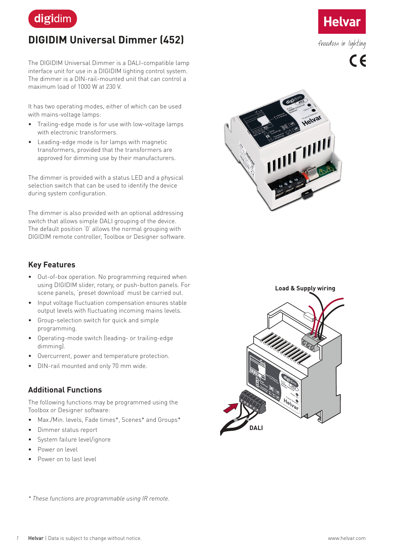

# **DIGIDIM Universal Dimmer (452)**

The DIGIDIM Universal Dimmer is a DALI-compatible lamp interface unit for use in a DIGIDIM lighting control system. The dimmer is a DIN-rail-mounted unit that can control a maximum load of 1000 W at 230 V.

It has two operating modes, either of which can be used with mains-voltage lamps:

- Trailing-edge mode is for use with low-voltage lamps with electronic transformers.
- Leading-edge mode is for lamps with magnetic transformers, provided that the transformers are approved for dimming use by their manufacturers.

The dimmer is provided with a status LED and a physical selection switch that can be used to identify the device during system configuration.

The dimmer is also provided with an optional addressing switch that allows simple DALI grouping of the device. The default position '0' allows the normal grouping with DIGIDIM remote controller, Toolbox or Designer software.

#### **Key Features**

- Out-of-box operation. No programming required when using DIGIDIM slider, rotary, or push-button panels. For scene panels, 'preset download' must be carried out.
- Input voltage fluctuation compensation ensures stable output levels with fluctuating incoming mains levels.
- Group-selection switch for quick and simple programming.
- Operating-mode switch (leading- or trailing-edge dimming).
- Overcurrent, power and temperature protection.
- DIN-rail mounted and only 70 mm wide.

#### **Additional Functions**

The following functions may be programmed using the Toolbox or Designer software:

- Max./Min. levels, Fade times\*, Scenes\* and Groups\*
- Dimmer status report
- System failure level/ignore
- Power on level
- Power on to last level



**Helva** 

freedom in lighting

 $\epsilon$ 



*\* These functions are programmable using IR remote.*